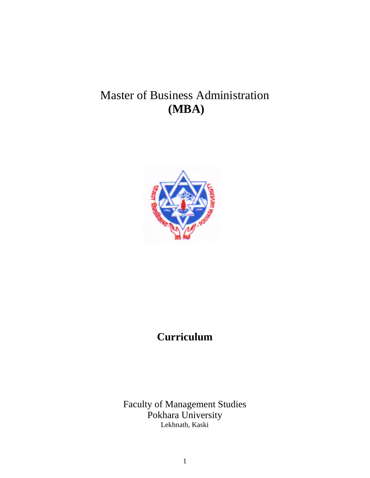# Master of Business Administration **(MBA)**



## **Curriculum**

Faculty of Management Studies Pokhara University Lekhnath, Kaski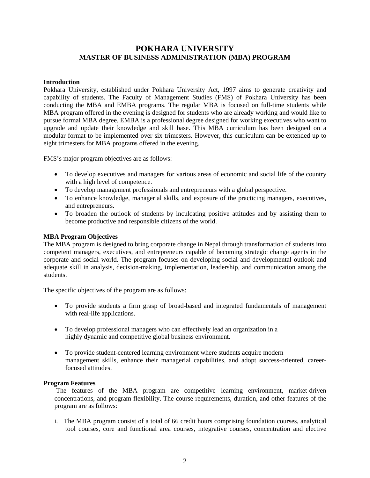### **POKHARA UNIVERSITY MASTER OF BUSINESS ADMINISTRATION (MBA) PROGRAM**

#### **Introduction**

Pokhara University, established under Pokhara University Act, 1997 aims to generate creativity and capability of students. The Faculty of Management Studies (FMS) of Pokhara University has been conducting the MBA and EMBA programs. The regular MBA is focused on full-time students while MBA program offered in the evening is designed for students who are already working and would like to pursue formal MBA degree. EMBA is a professional degree designed for working executives who want to upgrade and update their knowledge and skill base. This MBA curriculum has been designed on a modular format to be implemented over six trimesters. However, this curriculum can be extended up to eight trimesters for MBA programs offered in the evening.

FMS's major program objectives are as follows:

- To develop executives and managers for various areas of economic and social life of the country with a high level of competence.
- To develop management professionals and entrepreneurs with a global perspective.
- To enhance knowledge, managerial skills, and exposure of the practicing managers, executives, and entrepreneurs.
- To broaden the outlook of students by inculcating positive attitudes and by assisting them to become productive and responsible citizens of the world.

#### **MBA Program Objectives**

The MBA program is designed to bring corporate change in Nepal through transformation of students into competent managers, executives, and entrepreneurs capable of becoming strategic change agents in the corporate and social world. The program focuses on developing social and developmental outlook and adequate skill in analysis, decision-making, implementation, leadership, and communication among the students.

The specific objectives of the program are as follows:

- To provide students a firm grasp of broad-based and integrated fundamentals of management with real-life applications.
- To develop professional managers who can effectively lead an organization in a highly dynamic and competitive global business environment.
- To provide student-centered learning environment where students acquire modern management skills, enhance their managerial capabilities, and adopt success-oriented, careerfocused attitudes.

#### **Program Features**

The features of the MBA program are competitive learning environment, market-driven concentrations, and program flexibility. The course requirements, duration, and other features of the program are as follows:

i.The MBA program consist of a total of 66 credit hours comprising foundation courses, analytical tool courses, core and functional area courses, integrative courses, concentration and elective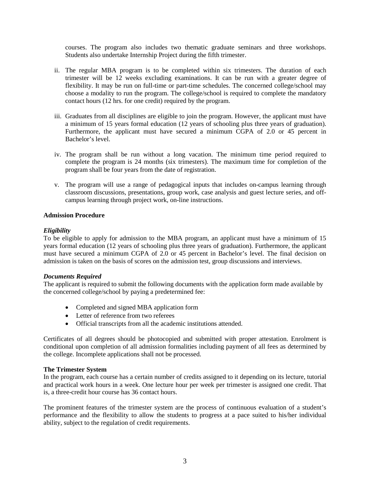courses. The program also includes two thematic graduate seminars and three workshops. Students also undertake Internship Project during the fifth trimester.

- ii. The regular MBA program is to be completed within six trimesters. The duration of each trimester will be 12 weeks excluding examinations. It can be run with a greater degree of flexibility. It may be run on full-time or part-time schedules. The concerned college/school may choose a modality to run the program. The college/school is required to complete the mandatory contact hours (12 hrs. for one credit) required by the program.
- iii. Graduates from all disciplines are eligible to join the program. However, the applicant must have a minimum of 15 years formal education (12 years of schooling plus three years of graduation). Furthermore, the applicant must have secured a minimum CGPA of 2.0 or 45 percent in Bachelor's level.
- iv. The program shall be run without a long vacation. The minimum time period required to complete the program is 24 months (six trimesters). The maximum time for completion of the program shall be four years from the date of registration.
- v. The program will use a range of pedagogical inputs that includes on-campus learning through classroom discussions, presentations, group work, case analysis and guest lecture series, and offcampus learning through project work, on-line instructions.

#### **Admission Procedure**

#### *Eligibility*

To be eligible to apply for admission to the MBA program, an applicant must have a minimum of 15 years formal education (12 years of schooling plus three years of graduation). Furthermore, the applicant must have secured a minimum CGPA of 2.0 or 45 percent in Bachelor's level. The final decision on admission is taken on the basis of scores on the admission test, group discussions and interviews.

#### *Documents Required*

The applicant is required to submit the following documents with the application form made available by the concerned college/school by paying a predetermined fee:

- Completed and signed MBA application form
- Letter of reference from two referees
- Official transcripts from all the academic institutions attended.

Certificates of all degrees should be photocopied and submitted with proper attestation. Enrolment is conditional upon completion of all admission formalities including payment of all fees as determined by the college. Incomplete applications shall not be processed.

#### **The Trimester System**

In the program, each course has a certain number of credits assigned to it depending on its lecture, tutorial and practical work hours in a week. One lecture hour per week per trimester is assigned one credit. That is, a three-credit hour course has 36 contact hours.

The prominent features of the trimester system are the process of continuous evaluation of a student's performance and the flexibility to allow the students to progress at a pace suited to his/her individual ability, subject to the regulation of credit requirements.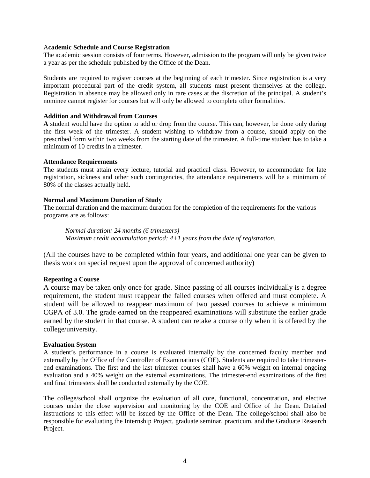#### A**cademic Schedule and Course Registration**

The academic session consists of four terms. However, admission to the program will only be given twice a year as per the schedule published by the Office of the Dean.

Students are required to register courses at the beginning of each trimester. Since registration is a very important procedural part of the credit system, all students must present themselves at the college. Registration in absence may be allowed only in rare cases at the discretion of the principal. A student's nominee cannot register for courses but will only be allowed to complete other formalities.

#### **Addition and Withdrawal from Courses**

**A** student would have the option to add or drop from the course. This can, however, be done only during the first week of the trimester. A student wishing to withdraw from a course, should apply on the prescribed form within two weeks from the starting date of the trimester. A full-time student has to take a minimum of 10 credits in a trimester.

#### **Attendance Requirements**

The students must attain every lecture, tutorial and practical class. However, to accommodate for late registration, sickness and other such contingencies, the attendance requirements will be a minimum of 80% of the classes actually held.

#### **Normal and Maximum Duration of Study**

The normal duration and the maximum duration for the completion of the requirements for the various programs are as follows:

*Normal duration: 24 months (6 trimesters) Maximum credit accumulation period: 4+1 years from the date of registration.* 

(All the courses have to be completed within four years, and additional one year can be given to thesis work on special request upon the approval of concerned authority)

#### **Repeating a Course**

A course may be taken only once for grade. Since passing of all courses individually is a degree requirement, the student must reappear the failed courses when offered and must complete. A student will be allowed to reappear maximum of two passed courses to achieve a minimum CGPA of 3.0. The grade earned on the reappeared examinations will substitute the earlier grade earned by the student in that course. A student can retake a course only when it is offered by the college/university.

#### **Evaluation System**

A student's performance in a course is evaluated internally by the concerned faculty member and externally by the Office of the Controller of Examinations (COE). Students are required to take trimesterend examinations. The first and the last trimester courses shall have a 60% weight on internal ongoing evaluation and a 40% weight on the external examinations. The trimester-end examinations of the first and final trimesters shall be conducted externally by the COE.

The college/school shall organize the evaluation of all core, functional, concentration, and elective courses under the close supervision and monitoring by the COE and Office of the Dean. Detailed instructions to this effect will be issued by the Office of the Dean. The college/school shall also be responsible for evaluating the Internship Project, graduate seminar, practicum, and the Graduate Research Project.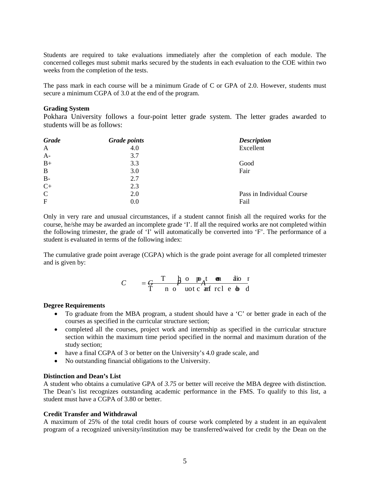Students are required to take evaluations immediately after the completion of each module. The concerned colleges must submit marks secured by the students in each evaluation to the COE within two weeks from the completion of the tests.

The pass mark in each course will be a minimum Grade of C or GPA of 2.0. However, students must secure a minimum CGPA of 3.0 at the end of the program.

#### **Grading System**

Pokhara University follows a four-point letter grade system. The letter grades awarded to students will be as follows:

| <b>Grade</b> | <b>Grade points</b> | <b>Description</b>        |
|--------------|---------------------|---------------------------|
| $\mathbf{A}$ | 4.0                 | Excellent                 |
| $A-$         | 3.7                 |                           |
| $B+$         | 3.3                 | Good                      |
| $\, {\bf B}$ | 3.0                 | Fair                      |
| $B-$         | 2.7                 |                           |
| $C+$         | 2.3                 |                           |
| $\mathsf{C}$ | 2.0                 | Pass in Individual Course |
| $\mathbf{F}$ | 0.0                 | Fail                      |

Only in very rare and unusual circumstances, if a student cannot finish all the required works for the course, he/she may be awarded an incomplete grade 'I'. If all the required works are not completed within the following trimester, the grade of 'I' will automatically be converted into 'F'. The performance of a student is evaluated in terms of the following index:

The cumulative grade point average (CGPA) which is the grade point average for all completed trimester and is given by:

$$
C = \frac{C}{T} \qquad \frac{T}{n} \qquad \frac{h}{n} \qquad \frac{D}{n} \qquad \frac{f}{n} \qquad \frac{d}{n} \qquad \frac{d}{n} \qquad \frac{d}{n} \qquad \frac{d}{n} \qquad \frac{d}{n}
$$

#### **Degree Requirements**

- To graduate from the MBA program, a student should have a 'C' or better grade in each of the courses as specified in the curricular structure section;
- completed all the courses, project work and internship as specified in the curricular structure section within the maximum time period specified in the normal and maximum duration of the study section;
- have a final CGPA of 3 or better on the University's 4.0 grade scale, and
- No outstanding financial obligations to the University.

#### **Distinction and Dean's List**

A student who obtains a cumulative GPA of *3.75* or better will receive the MBA degree with distinction. The Dean's list recognizes outstanding academic performance in the FMS. To qualify to this list, a student must have a CGPA of 3.80 or better.

#### **Credit Transfer and Withdrawal**

A maximum of 25% of the total credit hours of course work completed by a student in an equivalent program of a recognized university/institution may be transferred/waived for credit by the Dean on the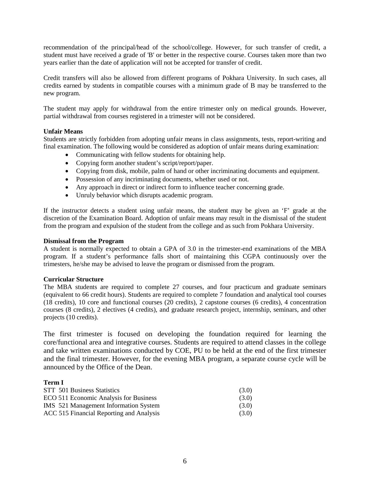recommendation of the principal/head of the school/college. However, for such transfer of credit, a student must have received a grade of 'B' or better in the respective course. Courses taken more than two years earlier than the date of application will not be accepted for transfer of credit.

Credit transfers will also be allowed from different programs of Pokhara University. In such cases, all credits earned by students in compatible courses with a minimum grade of B may be transferred to the new program.

The student may apply for withdrawal from the entire trimester only on medical grounds. However, partial withdrawal from courses registered in a trimester will not be considered.

#### **Unfair Means**

Students are strictly forbidden from adopting unfair means in class assignments, tests, report-writing and final examination. The following would be considered as adoption of unfair means during examination:

- Communicating with fellow students for obtaining help.
- Copying form another student's script/report/paper.
- Copying from disk, mobile, palm of hand or other incriminating documents and equipment.
- Possession of any incriminating documents, whether used or not.
- Any approach in direct or indirect form to influence teacher concerning grade.
- Unruly behavior which disrupts academic program.

If the instructor detects a student using unfair means, the student may be given an 'F' grade at the discretion of the Examination Board. Adoption of unfair means may result in the dismissal of the student from the program and expulsion of the student from the college and as such from Pokhara University.

#### **Dismissal from the Program**

A student is normally expected to obtain a GPA of 3.0 in the trimester-end examinations of the MBA program. If a student's performance falls short of maintaining this CGPA continuously over the trimesters, he/she may be advised to leave the program or dismissed from the program.

#### **Curricular Structure**

The MBA students are required to complete 27 courses, and four practicum and graduate seminars (equivalent to 66 credit hours). Students are required to complete 7 foundation and analytical tool courses (18 credits), 10 core and functional courses (20 credits), 2 capstone courses (6 credits), 4 concentration courses (8 credits), 2 electives (4 credits), and graduate research project, internship, seminars, and other projects (10 credits).

The first trimester is focused on developing the foundation required for learning the core/functional area and integrative courses. Students are required to attend classes in the college and take written examinations conducted by COE, PU to be held at the end of the first trimester and the final trimester. However, for the evening MBA program, a separate course cycle will be announced by the Office of the Dean.

#### **Term I**

| STT 501 Business Statistics              | (3.0) |
|------------------------------------------|-------|
| ECO 511 Economic Analysis for Business   | (3.0) |
| IMS 521 Management Information System    | (3.0) |
| ACC 515 Financial Reporting and Analysis | (3.0) |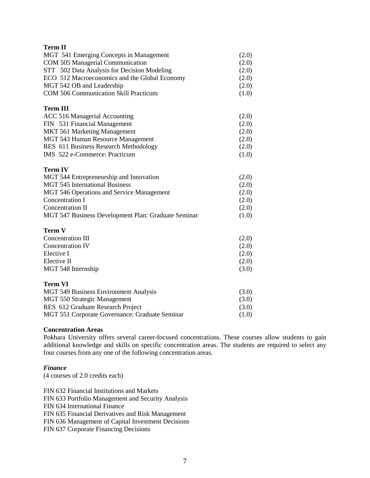| <b>Term II</b>                                      |       |
|-----------------------------------------------------|-------|
| MGT 541 Emerging Concepts in Management             | (2.0) |
| COM 505 Managerial Communication                    | (2.0) |
| STT 502 Data Analysis for Decision Modeling         | (2.0) |
| ECO 512 Macroeconomics and the Global Economy       | (2.0) |
| MGT 542 OB and Leadership                           | (2.0) |
| COM 506 Communication Skill Practicum               | (1.0) |
| <b>Term III</b>                                     |       |
| ACC 516 Managerial Accounting                       | (2.0) |
| FIN 531 Financial Management                        | (2.0) |
| MKT 561 Marketing Management                        | (2.0) |
| MGT 543 Human Resource Management                   | (2.0) |
| RES 611 Business Research Methodology               | (2.0) |
| IMS 522 e-Commerce: Practicum                       | (1.0) |
| <b>Term IV</b>                                      |       |
| MGT 544 Entrepreneurship and Innovation             | (2.0) |
| <b>MGT 545 International Business</b>               | (2.0) |
| MGT 546 Operations and Service Management           | (2.0) |
| Concentration I                                     | (2.0) |
| <b>Concentration II</b>                             | (2.0) |
| MGT 547 Business Development Plan: Graduate Seminar | (1.0) |
| <b>Term V</b>                                       |       |
| <b>Concentration III</b>                            | (2.0) |
| <b>Concentration IV</b>                             | (2.0) |
| Elective I                                          | (2.0) |
| Elective II                                         | (2.0) |
| MGT 548 Internship                                  | (3.0) |
| <b>Term VI</b>                                      |       |
| MGT 549 Business Environment Analysis               | (3.0) |
| MGT 550 Strategic Management                        | (3.0) |
| RES 612 Graduate Research Project                   | (3.0) |
| MGT 551 Corporate Governance: Graduate Seminar      | (1.0) |

#### **Concentration Areas**

Pokhara University offers several career-focused concentrations. These courses allow students to gain additional knowledge and skills on specific concentration areas. The students are required to select any four courses from any one of the following concentration areas.

#### *Finance*

(4 courses of 2.0 credits each)

FIN 632 Financial Institutions and Markets FIN 633 Portfolio Management and Security Analysis FIN 634 International Finance FIN 635 Financial Derivatives and Risk Management FIN 636 Management of Capital Investment Decisions FIN 637 Corporate Financing Decisions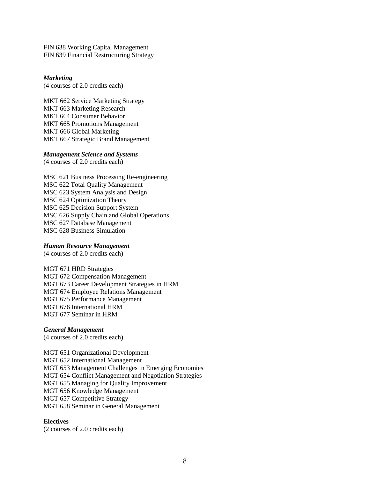FIN 638 Working Capital Management FIN 639 Financial Restructuring Strategy

#### *Marketing*

(4 courses of 2.0 credits each)

MKT 662 Service Marketing Strategy MKT 663 Marketing Research MKT 664 Consumer Behavior MKT 665 Promotions Management MKT 666 Global Marketing MKT 667 Strategic Brand Management

#### *Management Science and Systems*

(4 courses of 2.0 credits each)

MSC 621 Business Processing Re-engineering MSC 622 Total Quality Management MSC 623 System Analysis and Design MSC 624 Optimization Theory MSC 625 Decision Support System MSC 626 Supply Chain and Global Operations MSC 627 Database Management MSC 628 Business Simulation

#### *Human Resource Management*

(4 courses of 2.0 credits each)

MGT 671 HRD Strategies MGT 672 Compensation Management MGT 673 Career Development Strategies in HRM MGT 674 Employee Relations Management MGT 675 Performance Management MGT 676 International HRM MGT 677 Seminar in HRM

#### *General Management*

(4 courses of 2.0 credits each)

MGT 651 Organizational Development MGT 652 International Management MGT 653 Management Challenges in Emerging Economies MGT 654 Conflict Management and Negotiation Strategies MGT 655 Managing for Quality Improvement MGT 656 Knowledge Management MGT 657 Competitive Strategy MGT 658 Seminar in General Management

#### **Electives**

(2 courses of 2.0 credits each)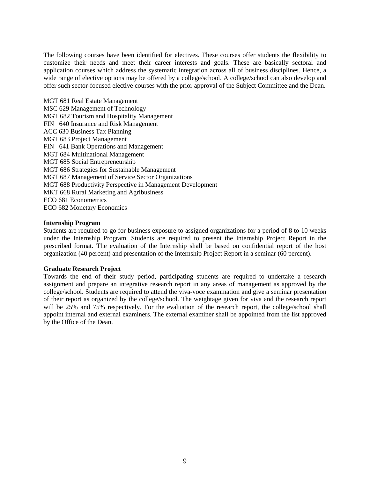The following courses have been identified for electives. These courses offer students the flexibility to customize their needs and meet their career interests and goals. These are basically sectoral and application courses which address the systematic integration across all of business disciplines. Hence, a wide range of elective options may be offered by a college/school. A college/school can also develop and offer such sector-focused elective courses with the prior approval of the Subject Committee and the Dean.

MGT 681 Real Estate Management MSC 629 Management of Technology MGT 682 Tourism and Hospitality Management FIN 640 Insurance and Risk Management ACC 630 Business Tax Planning MGT 683 Project Management FIN 641 Bank Operations and Management MGT 684 Multinational Management MGT 685 Social Entrepreneurship MGT 686 Strategies for Sustainable Management MGT 687 Management of Service Sector Organizations MGT 688 Productivity Perspective in Management Development MKT 668 Rural Marketing and Agribusiness ECO 681 Econometrics ECO 682 Monetary Economics

#### **Internship Program**

Students are required to go for business exposure to assigned organizations for a period of 8 to 10 weeks under the Internship Program. Students are required to present the Internship Project Report in the prescribed format. The evaluation of the Internship shall be based on confidential report of the host organization (40 percent) and presentation of the Internship Project Report in a seminar (60 percent).

#### **Graduate Research Project**

Towards the end of their study period, participating students are required to undertake a research assignment and prepare an integrative research report in any areas of management as approved by the college/school. Students are required to attend the viva-voce examination and give a seminar presentation of their report as organized by the college/school. The weightage given for viva and the research report will be 25% and 75% respectively. For the evaluation of the research report, the college/school shall appoint internal and external examiners. The external examiner shall be appointed from the list approved by the Office of the Dean.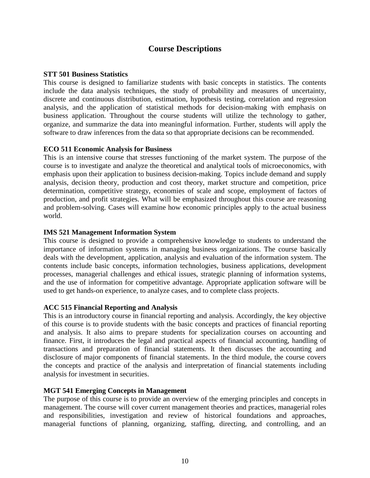### **Course Descriptions**

#### **STT 501 Business Statistics**

This course is designed to familiarize students with basic concepts in statistics. The contents include the data analysis techniques, the study of probability and measures of uncertainty, discrete and continuous distribution, estimation, hypothesis testing, correlation and regression analysis, and the application of statistical methods for decision-making with emphasis on business application. Throughout the course students will utilize the technology to gather, organize, and summarize the data into meaningful information. Further, students will apply the software to draw inferences from the data so that appropriate decisions can be recommended.

#### **ECO 511 Economic Analysis for Business**

This is an intensive course that stresses functioning of the market system. The purpose of the course is to investigate and analyze the theoretical and analytical tools of microeconomics, with emphasis upon their application to business decision-making. Topics include demand and supply analysis, decision theory, production and cost theory, market structure and competition, price determination, competitive strategy, economies of scale and scope, employment of factors of production, and profit strategies. What will be emphasized throughout this course are reasoning and problem-solving. Cases will examine how economic principles apply to the actual business world.

#### **IMS 521 Management Information System**

This course is designed to provide a comprehensive knowledge to students to understand the importance of information systems in managing business organizations. The course basically deals with the development, application, analysis and evaluation of the information system. The contents include basic concepts, information technologies, business applications, development processes, managerial challenges and ethical issues, strategic planning of information systems, and the use of information for competitive advantage. Appropriate application software will be used to get hands-on experience, to analyze cases, and to complete class projects.

#### **ACC 515 Financial Reporting and Analysis**

This is an introductory course in financial reporting and analysis. Accordingly, the key objective of this course is to provide students with the basic concepts and practices of financial reporting and analysis. It also aims to prepare students for specialization courses on accounting and finance. First, it introduces the legal and practical aspects of financial accounting, handling of transactions and preparation of financial statements. It then discusses the accounting and disclosure of major components of financial statements. In the third module, the course covers the concepts and practice of the analysis and interpretation of financial statements including analysis for investment in securities.

#### **MGT 541 Emerging Concepts in Management**

The purpose of this course is to provide an overview of the emerging principles and concepts in management. The course will cover current management theories and practices, managerial roles and responsibilities, investigation and review of historical foundations and approaches, managerial functions of planning, organizing, staffing, directing, and controlling, and an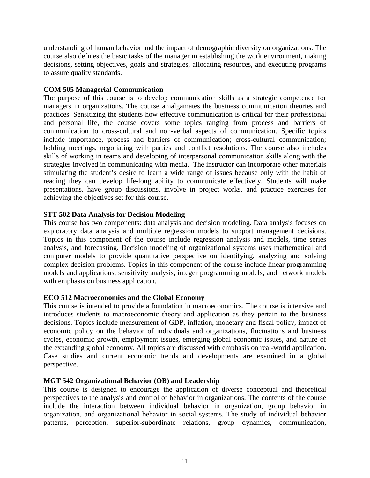understanding of human behavior and the impact of demographic diversity on organizations. The course also defines the basic tasks of the manager in establishing the work environment, making decisions, setting objectives, goals and strategies, allocating resources, and executing programs to assure quality standards.

#### **COM 505 Managerial Communication**

The purpose of this course is to develop communication skills as a strategic competence for managers in organizations. The course amalgamates the business communication theories and practices. Sensitizing the students how effective communication is critical for their professional and personal life, the course covers some topics ranging from process and barriers of communication to cross-cultural and non-verbal aspects of communication. Specific topics include importance, process and barriers of communication; cross-cultural communication; holding meetings, negotiating with parties and conflict resolutions. The course also includes skills of working in teams and developing of interpersonal communication skills along with the strategies involved in communicating with media. The instructor can incorporate other materials stimulating the student's desire to learn a wide range of issues because only with the habit of reading they can develop life-long ability to communicate effectively. Students will make presentations, have group discussions, involve in project works, and practice exercises for achieving the objectives set for this course.

#### **STT 502 Data Analysis for Decision Modeling**

This course has two components: data analysis and decision modeling. Data analysis focuses on exploratory data analysis and multiple regression models to support management decisions. Topics in this component of the course include regression analysis and models, time series analysis, and forecasting. Decision modeling of organizational systems uses mathematical and computer models to provide quantitative perspective on identifying, analyzing and solving complex decision problems. Topics in this component of the course include linear programming models and applications, sensitivity analysis, integer programming models, and network models with emphasis on business application.

### **ECO 512 Macroeconomics and the Global Economy**

This course is intended to provide a foundation in macroeconomics. The course is intensive and introduces students to macroeconomic theory and application as they pertain to the business decisions. Topics include measurement of GDP, inflation, monetary and fiscal policy, impact of economic policy on the behavior of individuals and organizations, fluctuations and business cycles, economic growth, employment issues, emerging global economic issues, and nature of the expanding global economy. All topics are discussed with emphasis on real-world application. Case studies and current economic trends and developments are examined in a global perspective.

#### **MGT 542 Organizational Behavior (OB) and Leadership**

This course is designed to encourage the application of diverse conceptual and theoretical perspectives to the analysis and control of behavior in organizations. The contents of the course include the interaction between individual behavior in organization, group behavior in organization, and organizational behavior in social systems. The study of individual behavior patterns, perception, superior-subordinate relations, group dynamics, communication,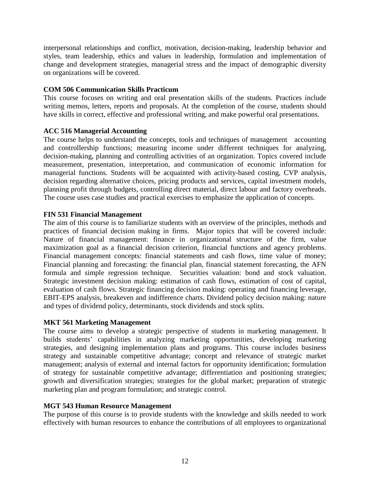interpersonal relationships and conflict, motivation, decision-making, leadership behavior and styles, team leadership, ethics and values in leadership, formulation and implementation of change and development strategies, managerial stress and the impact of demographic diversity on organizations will be covered.

#### **COM 506 Communication Skills Practicum**

This course focuses on writing and oral presentation skills of the students. Practices include writing memos, letters, reports and proposals. At the completion of the course, students should have skills in correct, effective and professional writing, and make powerful oral presentations.

### **ACC 516 Managerial Accounting**

The course helps to understand the concepts, tools and techniques of management accounting and controllership functions; measuring income under different techniques for analyzing, decision-making, planning and controlling activities of an organization. Topics covered include measurement, presentation, interpretation, and communication of economic information for managerial functions. Students will be acquainted with activity-based costing, CVP analysis, decision regarding alternative choices, pricing products and services, capital investment models, planning profit through budgets, controlling direct material, direct labour and factory overheads. The course uses case studies and practical exercises to emphasize the application of concepts.

#### **FIN 531 Financial Management**

The aim of this course is to familiarize students with an overview of the principles, methods and practices of financial decision making in firms. Major topics that will be covered include: Nature of financial management: finance in organizational structure of the firm, value maximization goal as a financial decision criterion, financial functions and agency problems. Financial management concepts: financial statements and cash flows, time value of money; Financial planning and forecasting: the financial plan, financial statement forecasting, the AFN formula and simple regression technique. Securities valuation: bond and stock valuation. Strategic investment decision making: estimation of cash flows, estimation of cost of capital, evaluation of cash flows. Strategic financing decision making: operating and financing leverage, EBIT-EPS analysis, breakeven and indifference charts. Dividend policy decision making: nature and types of dividend policy, determinants, stock dividends and stock splits.

### **MKT 561 Marketing Management**

The course aims to develop a strategic perspective of students in marketing management. It builds students' capabilities in analyzing marketing opportunities, developing marketing strategies, and designing implementation plans and programs. This course includes business strategy and sustainable competitive advantage; concept and relevance of strategic market management; analysis of external and internal factors for opportunity identification; formulation of strategy for sustainable competitive advantage; differentiation and positioning strategies; growth and diversification strategies; strategies for the global market; preparation of strategic marketing plan and program formulation; and strategic control.

### **MGT 543 Human Resource Management**

The purpose of this course is to provide students with the knowledge and skills needed to work effectively with human resources to enhance the contributions of all employees to organizational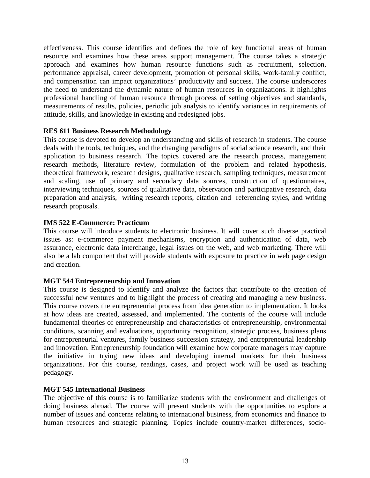effectiveness. This course identifies and defines the role of key functional areas of human resource and examines how these areas support management. The course takes a strategic approach and examines how human resource functions such as recruitment, selection, performance appraisal, career development, promotion of personal skills, work-family conflict, and compensation can impact organizations' productivity and success. The course underscores the need to understand the dynamic nature of human resources in organizations. It highlights professional handling of human resource through process of setting objectives and standards, measurements of results, policies, periodic job analysis to identify variances in requirements of attitude, skills, and knowledge in existing and redesigned jobs.

#### **RES 611 Business Research Methodology**

This course is devoted to develop an understanding and skills of research in students. The course deals with the tools, techniques, and the changing paradigms of social science research, and their application to business research. The topics covered are the research process, management research methods, literature review, formulation of the problem and related hypothesis, theoretical framework, research designs, qualitative research, sampling techniques, measurement and scaling, use of primary and secondary data sources, construction of questionnaires, interviewing techniques, sources of qualitative data, observation and participative research, data preparation and analysis, writing research reports, citation and referencing styles, and writing research proposals.

#### **IMS 522 E-Commerce: Practicum**

This course will introduce students to electronic business. It will cover such diverse practical issues as: e-commerce payment mechanisms, encryption and authentication of data, web assurance, electronic data interchange, legal issues on the web, and web marketing. There will also be a lab component that will provide students with exposure to practice in web page design and creation.

#### **MGT 544 Entrepreneurship and Innovation**

This course is designed to identify and analyze the factors that contribute to the creation of successful new ventures and to highlight the process of creating and managing a new business. This course covers the entrepreneurial process from idea generation to implementation. It looks at how ideas are created, assessed, and implemented. The contents of the course will include fundamental theories of entrepreneurship and characteristics of entrepreneurship, environmental conditions, scanning and evaluations, opportunity recognition, strategic process, business plans for entrepreneurial ventures, family business succession strategy, and entrepreneurial leadership and innovation. Entrepreneurship foundation will examine how corporate managers may capture the initiative in trying new ideas and developing internal markets for their business organizations. For this course, readings, cases, and project work will be used as teaching pedagogy.

#### **MGT 545 International Business**

The objective of this course is to familiarize students with the environment and challenges of doing business abroad. The course will present students with the opportunities to explore a number of issues and concerns relating to international business, from economics and finance to human resources and strategic planning. Topics include country-market differences, socio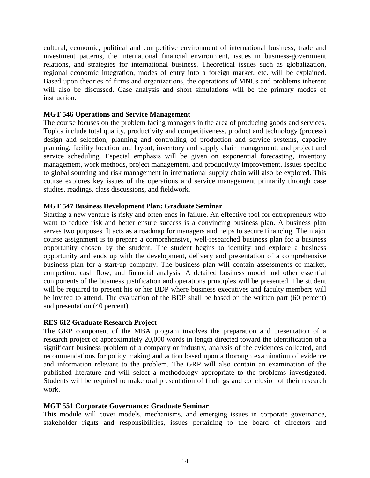cultural, economic, political and competitive environment of international business, trade and investment patterns, the international financial environment, issues in business-government relations, and strategies for international business. Theoretical issues such as globalization, regional economic integration, modes of entry into a foreign market, etc. will be explained. Based upon theories of firms and organizations, the operations of MNCs and problems inherent will also be discussed. Case analysis and short simulations will be the primary modes of instruction.

#### **MGT 546 Operations and Service Management**

The course focuses on the problem facing managers in the area of producing goods and services. Topics include total quality, productivity and competitiveness, product and technology (process) design and selection, planning and controlling of production and service systems, capacity planning, facility location and layout, inventory and supply chain management, and project and service scheduling. Especial emphasis will be given on exponential forecasting, inventory management, work methods, project management, and productivity improvement. Issues specific to global sourcing and risk management in international supply chain will also be explored. This course explores key issues of the operations and service management primarily through case studies, readings, class discussions, and fieldwork.

#### **MGT 547 Business Development Plan: Graduate Seminar**

Starting a new venture is risky and often ends in failure. An effective tool for entrepreneurs who want to reduce risk and better ensure success is a convincing business plan. A business plan serves two purposes. It acts as a roadmap for managers and helps to secure financing. The major course assignment is to prepare a comprehensive, well-researched business plan for a business opportunity chosen by the student. The student begins to identify and explore a business opportunity and ends up with the development, delivery and presentation of a comprehensive business plan for a start-up company. The business plan will contain assessments of market, competitor, cash flow, and financial analysis. A detailed business model and other essential components of the business justification and operations principles will be presented. The student will be required to present his or her BDP where business executives and faculty members will be invited to attend. The evaluation of the BDP shall be based on the written part (60 percent) and presentation (40 percent).

#### **RES 612 Graduate Research Project**

The GRP component of the MBA program involves the preparation and presentation of a research project of approximately 20,000 words in length directed toward the identification of a significant business problem of a company or industry, analysis of the evidences collected, and recommendations for policy making and action based upon a thorough examination of evidence and information relevant to the problem. The GRP will also contain an examination of the published literature and will select a methodology appropriate to the problems investigated. Students will be required to make oral presentation of findings and conclusion of their research work.

#### **MGT 551 Corporate Governance: Graduate Seminar**

This module will cover models, mechanisms, and emerging issues in corporate governance, stakeholder rights and responsibilities, issues pertaining to the board of directors and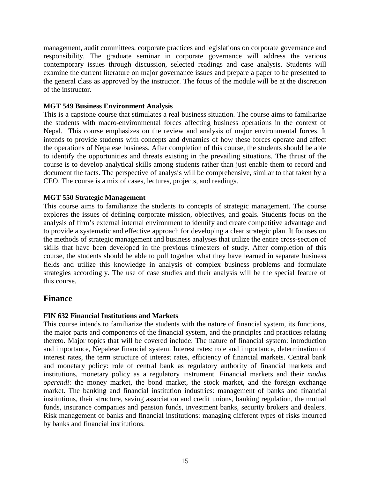management, audit committees, corporate practices and legislations on corporate governance and responsibility. The graduate seminar in corporate governance will address the various contemporary issues through discussion, selected readings and case analysis. Students will examine the current literature on major governance issues and prepare a paper to be presented to the general class as approved by the instructor. The focus of the module will be at the discretion of the instructor.

#### **MGT 549 Business Environment Analysis**

This is a capstone course that stimulates a real business situation. The course aims to familiarize the students with macro-environmental forces affecting business operations in the context of Nepal. This course emphasizes on the review and analysis of major environmental forces. It intends to provide students with concepts and dynamics of how these forces operate and affect the operations of Nepalese business. After completion of this course, the students should be able to identify the opportunities and threats existing in the prevailing situations. The thrust of the course is to develop analytical skills among students rather than just enable them to record and document the facts. The perspective of analysis will be comprehensive, similar to that taken by a CEO. The course is a mix of cases, lectures, projects, and readings.

#### **MGT 550 Strategic Management**

This course aims to familiarize the students to concepts of strategic management. The course explores the issues of defining corporate mission, objectives, and goals. Students focus on the analysis of firm's external internal environment to identify and create competitive advantage and to provide a systematic and effective approach for developing a clear strategic plan. It focuses on the methods of strategic management and business analyses that utilize the entire cross-section of skills that have been developed in the previous trimesters of study. After completion of this course, the students should be able to pull together what they have learned in separate business fields and utilize this knowledge in analysis of complex business problems and formulate strategies accordingly. The use of case studies and their analysis will be the special feature of this course.

### **Finance**

### **FIN 632 Financial Institutions and Markets**

This course intends to familiarize the students with the nature of financial system, its functions, the major parts and components of the financial system, and the principles and practices relating thereto. Major topics that will be covered include: The nature of financial system: introduction and importance, Nepalese financial system. Interest rates: role and importance, determination of interest rates, the term structure of interest rates, efficiency of financial markets. Central bank and monetary policy: role of central bank as regulatory authority of financial markets and institutions, monetary policy as a regulatory instrument. Financial markets and their *modus operendi*: the money market, the bond market, the stock market, and the foreign exchange market. The banking and financial institution industries: management of banks and financial institutions, their structure, saving association and credit unions, banking regulation, the mutual funds, insurance companies and pension funds, investment banks, security brokers and dealers. Risk management of banks and financial institutions: managing different types of risks incurred by banks and financial institutions.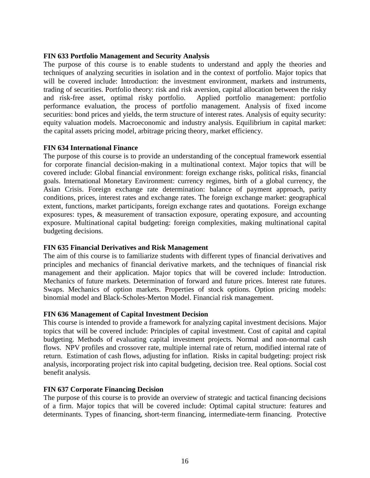#### **FIN 633 Portfolio Management and Security Analysis**

The purpose of this course is to enable students to understand and apply the theories and techniques of analyzing securities in isolation and in the context of portfolio. Major topics that will be covered include: Introduction: the investment environment, markets and instruments, trading of securities. Portfolio theory: risk and risk aversion, capital allocation between the risky and risk-free asset, optimal risky portfolio. Applied portfolio management: portfolio performance evaluation, the process of portfolio management. Analysis of fixed income securities: bond prices and yields, the term structure of interest rates. Analysis of equity security: equity valuation models. Macroeconomic and industry analysis. Equilibrium in capital market: the capital assets pricing model, arbitrage pricing theory, market efficiency.

#### **FIN 634 International Finance**

The purpose of this course is to provide an understanding of the conceptual framework essential for corporate financial decision-making in a multinational context. Major topics that will be covered include: Global financial environment: foreign exchange risks, political risks, financial goals. International Monetary Environment: currency regimes, birth of a global currency, the Asian Crisis. Foreign exchange rate determination: balance of payment approach, parity conditions, prices, interest rates and exchange rates. The foreign exchange market: geographical extent, functions, market participants, foreign exchange rates and quotations. Foreign exchange exposures: types, & measurement of transaction exposure, operating exposure, and accounting exposure. Multinational capital budgeting: foreign complexities, making multinational capital budgeting decisions.

#### **FIN 635 Financial Derivatives and Risk Management**

The aim of this course is to familiarize students with different types of financial derivatives and principles and mechanics of financial derivative markets, and the techniques of financial risk management and their application. Major topics that will be covered include: Introduction. Mechanics of future markets. Determination of forward and future prices. Interest rate futures. Swaps. Mechanics of option markets. Properties of stock options. Option pricing models: binomial model and Black-Scholes-Merton Model. Financial risk management.

#### **FIN 636 Management of Capital Investment Decision**

This course is intended to provide a framework for analyzing capital investment decisions. Major topics that will be covered include: Principles of capital investment. Cost of capital and capital budgeting. Methods of evaluating capital investment projects. Normal and non-normal cash flows. NPV profiles and crossover rate, multiple internal rate of return, modified internal rate of return. Estimation of cash flows, adjusting for inflation. Risks in capital budgeting: project risk analysis, incorporating project risk into capital budgeting, decision tree. Real options. Social cost benefit analysis.

#### **FIN 637 Corporate Financing Decision**

The purpose of this course is to provide an overview of strategic and tactical financing decisions of a firm. Major topics that will be covered include: Optimal capital structure: features and determinants. Types of financing, short-term financing, intermediate-term financing. Protective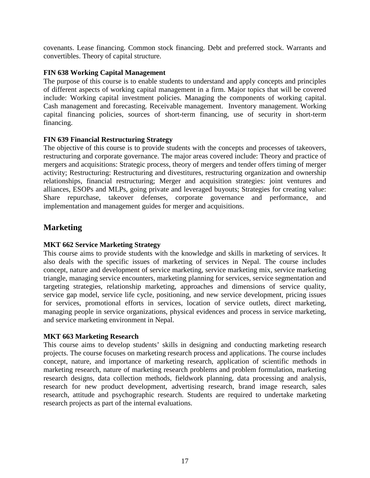covenants. Lease financing. Common stock financing. Debt and preferred stock. Warrants and convertibles. Theory of capital structure.

#### **FIN 638 Working Capital Management**

The purpose of this course is to enable students to understand and apply concepts and principles of different aspects of working capital management in a firm. Major topics that will be covered include: Working capital investment policies. Managing the components of working capital. Cash management and forecasting. Receivable management. Inventory management. Working capital financing policies, sources of short-term financing, use of security in short-term financing.

#### **FIN 639 Financial Restructuring Strategy**

The objective of this course is to provide students with the concepts and processes of takeovers, restructuring and corporate governance. The major areas covered include: Theory and practice of mergers and acquisitions: Strategic process, theory of mergers and tender offers timing of merger activity; Restructuring: Restructuring and divestitures, restructuring organization and ownership relationships, financial restructuring; Merger and acquisition strategies: joint ventures and alliances, ESOPs and MLPs, going private and leveraged buyouts; Strategies for creating value: Share repurchase, takeover defenses, corporate governance and performance, and implementation and management guides for merger and acquisitions.

### **Marketing**

### **MKT 662 Service Marketing Strategy**

This course aims to provide students with the knowledge and skills in marketing of services. It also deals with the specific issues of marketing of services in Nepal. The course includes concept, nature and development of service marketing, service marketing mix, service marketing triangle, managing service encounters, marketing planning for services, service segmentation and targeting strategies, relationship marketing, approaches and dimensions of service quality, service gap model, service life cycle, positioning, and new service development, pricing issues for services, promotional efforts in services, location of service outlets, direct marketing, managing people in service organizations, physical evidences and process in service marketing, and service marketing environment in Nepal.

#### **MKT 663 Marketing Research**

This course aims to develop students' skills in designing and conducting marketing research projects. The course focuses on marketing research process and applications. The course includes concept, nature, and importance of marketing research, application of scientific methods in marketing research, nature of marketing research problems and problem formulation, marketing research designs, data collection methods, fieldwork planning, data processing and analysis, research for new product development, advertising research, brand image research, sales research, attitude and psychographic research. Students are required to undertake marketing research projects as part of the internal evaluations.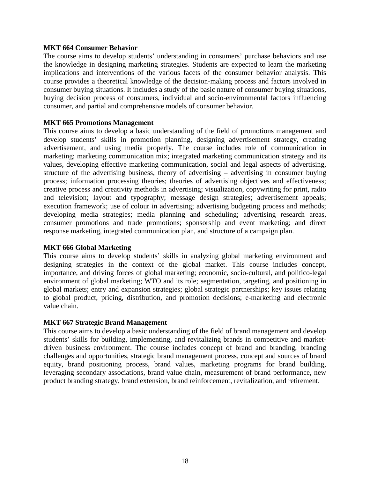#### **MKT 664 Consumer Behavior**

The course aims to develop students' understanding in consumers' purchase behaviors and use the knowledge in designing marketing strategies. Students are expected to learn the marketing implications and interventions of the various facets of the consumer behavior analysis. This course provides a theoretical knowledge of the decision-making process and factors involved in consumer buying situations. It includes a study of the basic nature of consumer buying situations, buying decision process of consumers, individual and socio-environmental factors influencing consumer, and partial and comprehensive models of consumer behavior.

#### **MKT 665 Promotions Management**

This course aims to develop a basic understanding of the field of promotions management and develop students' skills in promotion planning, designing advertisement strategy, creating advertisement, and using media properly. The course includes role of communication in marketing; marketing communication mix; integrated marketing communication strategy and its values, developing effective marketing communication, social and legal aspects of advertising, structure of the advertising business, theory of advertising – advertising in consumer buying process; information processing theories; theories of advertising objectives and effectiveness; creative process and creativity methods in advertising; visualization, copywriting for print, radio and television; layout and typography; message design strategies; advertisement appeals; execution framework; use of colour in advertising; advertising budgeting process and methods; developing media strategies; media planning and scheduling; advertising research areas, consumer promotions and trade promotions; sponsorship and event marketing; and direct response marketing, integrated communication plan, and structure of a campaign plan.

#### **MKT 666 Global Marketing**

This course aims to develop students' skills in analyzing global marketing environment and designing strategies in the context of the global market. This course includes concept, importance, and driving forces of global marketing; economic, socio-cultural, and politico-legal environment of global marketing; WTO and its role; segmentation, targeting, and positioning in global markets; entry and expansion strategies; global strategic partnerships; key issues relating to global product, pricing, distribution, and promotion decisions; e-marketing and electronic value chain.

#### **MKT 667 Strategic Brand Management**

This course aims to develop a basic understanding of the field of brand management and develop students' skills for building, implementing, and revitalizing brands in competitive and marketdriven business environment. The course includes concept of brand and branding, branding challenges and opportunities, strategic brand management process, concept and sources of brand equity, brand positioning process, brand values, marketing programs for brand building, leveraging secondary associations, brand value chain, measurement of brand performance, new product branding strategy, brand extension, brand reinforcement, revitalization, and retirement.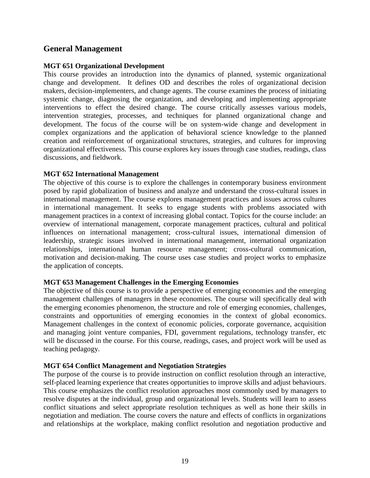### **General Management**

#### **MGT 651 Organizational Development**

This course provides an introduction into the dynamics of planned, systemic organizational change and development. It defines OD and describes the roles of organizational decision makers, decision-implementers, and change agents. The course examines the process of initiating systemic change, diagnosing the organization, and developing and implementing appropriate interventions to effect the desired change. The course critically assesses various models, intervention strategies, processes, and techniques for planned organizational change and development. The focus of the course will be on system-wide change and development in complex organizations and the application of behavioral science knowledge to the planned creation and reinforcement of organizational structures, strategies, and cultures for improving organizational effectiveness. This course explores key issues through case studies, readings, class discussions, and fieldwork.

#### **MGT 652 International Management**

The objective of this course is to explore the challenges in contemporary business environment posed by rapid globalization of business and analyze and understand the cross-cultural issues in international management. The course explores management practices and issues across cultures in international management. It seeks to engage students with problems associated with management practices in a context of increasing global contact. Topics for the course include: an overview of international management, corporate management practices, cultural and political influences on international management; cross-cultural issues, international dimension of leadership, strategic issues involved in international management, international organization relationships, international human resource management; cross-cultural communication, motivation and decision-making. The course uses case studies and project works to emphasize the application of concepts.

#### **MGT 653 Management Challenges in the Emerging Economies**

The objective of this course is to provide a perspective of emerging economies and the emerging management challenges of managers in these economies. The course will specifically deal with the emerging economies phenomenon, the structure and role of emerging economies, challenges, constraints and opportunities of emerging economies in the context of global economics. Management challenges in the context of economic policies, corporate governance, acquisition and managing joint venture companies, FDI, government regulations, technology transfer, etc will be discussed in the course. For this course, readings, cases, and project work will be used as teaching pedagogy.

#### **MGT 654 Conflict Management and Negotiation Strategies**

The purpose of the course is to provide instruction on conflict resolution through an interactive, self-placed learning experience that creates opportunities to improve skills and adjust behaviours. This course emphasizes the conflict resolution approaches most commonly used by managers to resolve disputes at the individual, group and organizational levels. Students will learn to assess conflict situations and select appropriate resolution techniques as well as hone their skills in negotiation and mediation. The course covers the nature and effects of conflicts in organizations and relationships at the workplace, making conflict resolution and negotiation productive and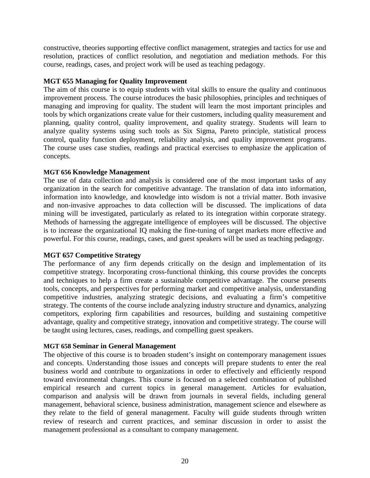constructive, theories supporting effective conflict management, strategies and tactics for use and resolution, practices of conflict resolution, and negotiation and mediation methods. For this course, readings, cases, and project work will be used as teaching pedagogy.

#### **MGT 655 Managing for Quality Improvement**

The aim of this course is to equip students with vital skills to ensure the quality and continuous improvement process. The course introduces the basic philosophies, principles and techniques of managing and improving for quality. The student will learn the most important principles and tools by which organizations create value for their customers, including quality measurement and planning, quality control, quality improvement, and quality strategy. Students will learn to analyze quality systems using such tools as Six Sigma, Pareto principle, statistical process control, quality function deployment, reliability analysis, and quality improvement programs. The course uses case studies, readings and practical exercises to emphasize the application of concepts.

#### **MGT 656 Knowledge Management**

The use of data collection and analysis is considered one of the most important tasks of any organization in the search for competitive advantage. The translation of data into information, information into knowledge, and knowledge into wisdom is not a trivial matter. Both invasive and non-invasive approaches to data collection will be discussed. The implications of data mining will be investigated, particularly as related to its integration within corporate strategy. Methods of harnessing the aggregate intelligence of employees will be discussed. The objective is to increase the organizational IQ making the fine-tuning of target markets more effective and powerful. For this course, readings, cases, and guest speakers will be used as teaching pedagogy.

#### **MGT 657 Competitive Strategy**

The performance of any firm depends critically on the design and implementation of its competitive strategy. Incorporating cross-functional thinking, this course provides the concepts and techniques to help a firm create a sustainable competitive advantage. The course presents tools, concepts, and perspectives for performing market and competitive analysis, understanding competitive industries, analyzing strategic decisions, and evaluating a firm's competitive strategy. The contents of the course include analyzing industry structure and dynamics, analyzing competitors, exploring firm capabilities and resources, building and sustaining competitive advantage, quality and competitive strategy, innovation and competitive strategy. The course will be taught using lectures, cases, readings, and compelling guest speakers.

#### **MGT 658 Seminar in General Management**

The objective of this course is to broaden student's insight on contemporary management issues and concepts. Understanding those issues and concepts will prepare students to enter the real business world and contribute to organizations in order to effectively and efficiently respond toward environmental changes. This course is focused on a selected combination of published empirical research and current topics in general management. Articles for evaluation, comparison and analysis will be drawn from journals in several fields, including general management, behavioral science, business administration, management science and elsewhere as they relate to the field of general management. Faculty will guide students through written review of research and current practices, and seminar discussion in order to assist the management professional as a consultant to company management.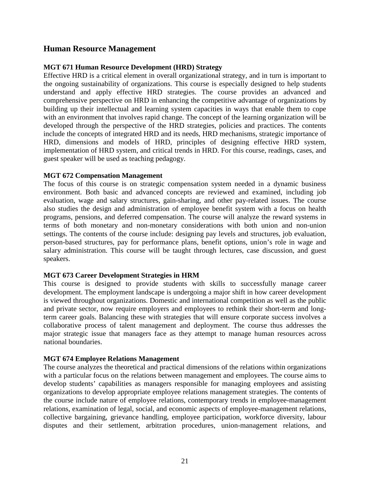### **Human Resource Management**

#### **MGT 671 Human Resource Development (HRD) Strategy**

Effective HRD is a critical element in overall organizational strategy, and in turn is important to the ongoing sustainability of organizations. This course is especially designed to help students understand and apply effective HRD strategies. The course provides an advanced and comprehensive perspective on HRD in enhancing the competitive advantage of organizations by building up their intellectual and learning system capacities in ways that enable them to cope with an environment that involves rapid change. The concept of the learning organization will be developed through the perspective of the HRD strategies, policies and practices. The contents include the concepts of integrated HRD and its needs, HRD mechanisms, strategic importance of HRD, dimensions and models of HRD, principles of designing effective HRD system, implementation of HRD system, and critical trends in HRD. For this course, readings, cases, and guest speaker will be used as teaching pedagogy.

#### **MGT 672 Compensation Management**

The focus of this course is on strategic compensation system needed in a dynamic business environment. Both basic and advanced concepts are reviewed and examined, including job evaluation, wage and salary structures, gain-sharing, and other pay-related issues. The course also studies the design and administration of employee benefit system with a focus on health programs, pensions, and deferred compensation. The course will analyze the reward systems in terms of both monetary and non-monetary considerations with both union and non-union settings. The contents of the course include: designing pay levels and structures, job evaluation, person-based structures, pay for performance plans, benefit options, union's role in wage and salary administration. This course will be taught through lectures, case discussion, and guest speakers.

#### **MGT 673 Career Development Strategies in HRM**

This course is designed to provide students with skills to successfully manage career development. The employment landscape is undergoing a major shift in how career development is viewed throughout organizations. Domestic and international competition as well as the public and private sector, now require employers and employees to rethink their short-term and longterm career goals. Balancing these with strategies that will ensure corporate success involves a collaborative process of talent management and deployment. The course thus addresses the major strategic issue that managers face as they attempt to manage human resources across national boundaries.

#### **MGT 674 Employee Relations Management**

The course analyzes the theoretical and practical dimensions of the relations within organizations with a particular focus on the relations between management and employees. The course aims to develop students' capabilities as managers responsible for managing employees and assisting organizations to develop appropriate employee relations management strategies. The contents of the course include nature of employee relations, contemporary trends in employee-management relations, examination of legal, social, and economic aspects of employee-management relations, collective bargaining, grievance handling, employee participation, workforce diversity, labour disputes and their settlement, arbitration procedures, union-management relations, and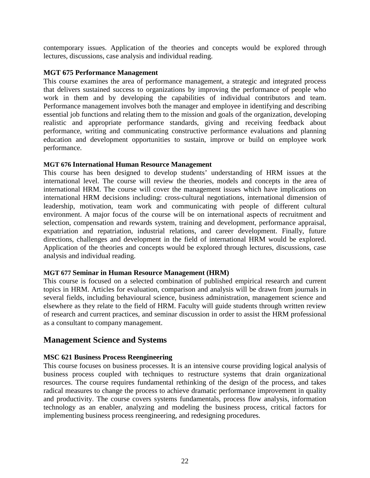contemporary issues. Application of the theories and concepts would be explored through lectures, discussions, case analysis and individual reading.

#### **MGT 675 Performance Management**

This course examines the area of performance management, a strategic and integrated process that delivers sustained success to organizations by improving the performance of people who work in them and by developing the capabilities of individual contributors and team. Performance management involves both the manager and employee in identifying and describing essential job functions and relating them to the mission and goals of the organization, developing realistic and appropriate performance standards, giving and receiving feedback about performance, writing and communicating constructive performance evaluations and planning education and development opportunities to sustain, improve or build on employee work performance.

#### **MGT 676 International Human Resource Management**

This course has been designed to develop students' understanding of HRM issues at the international level. The course will review the theories, models and concepts in the area of international HRM. The course will cover the management issues which have implications on international HRM decisions including: cross-cultural negotiations, international dimension of leadership, motivation, team work and communicating with people of different cultural environment. A major focus of the course will be on international aspects of recruitment and selection, compensation and rewards system, training and development, performance appraisal, expatriation and repatriation, industrial relations, and career development. Finally, future directions, challenges and development in the field of international HRM would be explored. Application of the theories and concepts would be explored through lectures, discussions, case analysis and individual reading.

#### **MGT 677 Seminar in Human Resource Management (HRM)**

This course is focused on a selected combination of published empirical research and current topics in HRM. Articles for evaluation, comparison and analysis will be drawn from journals in several fields, including behavioural science, business administration, management science and elsewhere as they relate to the field of HRM. Faculty will guide students through written review of research and current practices, and seminar discussion in order to assist the HRM professional as a consultant to company management.

### **Management Science and Systems**

#### **MSC 621 Business Process Reengineering**

This course focuses on business processes. It is an intensive course providing logical analysis of business process coupled with techniques to restructure systems that drain organizational resources. The course requires fundamental rethinking of the design of the process, and takes radical measures to change the process to achieve dramatic performance improvement in quality and productivity. The course covers systems fundamentals, process flow analysis, information technology as an enabler, analyzing and modeling the business process, critical factors for implementing business process reengineering, and redesigning procedures.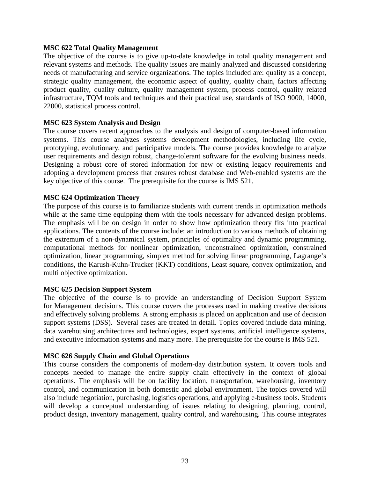#### **MSC 622 Total Quality Management**

The objective of the course is to give up-to-date knowledge in total quality management and relevant systems and methods. The quality issues are mainly analyzed and discussed considering needs of manufacturing and service organizations. The topics included are: quality as a concept, strategic quality management, the economic aspect of quality, quality chain, factors affecting product quality, quality culture, quality management system, process control, quality related infrastructure, TQM tools and techniques and their practical use, standards of ISO 9000, 14000, 22000, statistical process control.

#### **MSC 623 System Analysis and Design**

The course covers recent approaches to the analysis and design of computer-based information systems. This course analyzes systems development methodologies, including life cycle, prototyping, evolutionary, and participative models. The course provides knowledge to analyze user requirements and design robust, change-tolerant software for the evolving business needs. Designing a robust core of stored information for new or existing legacy requirements and adopting a development process that ensures robust database and Web-enabled systems are the key objective of this course. The prerequisite for the course is IMS 521.

#### **MSC 624 Optimization Theory**

The purpose of this course is to familiarize students with current trends in optimization methods while at the same time equipping them with the tools necessary for advanced design problems. The emphasis will be on design in order to show how optimization theory fits into practical applications. The contents of the course include: an introduction to various methods of obtaining the extremum of a non-dynamical system, principles of optimality and dynamic programming, computational methods for nonlinear optimization, unconstrained optimization, constrained optimization, linear programming, simplex method for solving linear programming, Lagrange's conditions, the Karush-Kuhn-Trucker (KKT) conditions, Least square, convex optimization, and multi objective optimization.

#### **MSC 625 Decision Support System**

The objective of the course is to provide an understanding of Decision Support System for Management decisions. This course covers the processes used in making creative decisions and effectively solving problems. A strong emphasis is placed on application and use of decision support systems (DSS). Several cases are treated in detail. Topics covered include data mining, data warehousing architectures and technologies, expert systems, artificial intelligence systems, and executive information systems and many more. The prerequisite for the course is IMS 521.

#### **MSC 626 Supply Chain and Global Operations**

This course considers the components of modern-day distribution system. It covers tools and concepts needed to manage the entire supply chain effectively in the context of global operations. The emphasis will be on facility location, transportation, warehousing, inventory control, and communication in both domestic and global environment. The topics covered will also include negotiation, purchasing, logistics operations, and applying e-business tools. Students will develop a conceptual understanding of issues relating to designing, planning, control, product design, inventory management, quality control, and warehousing. This course integrates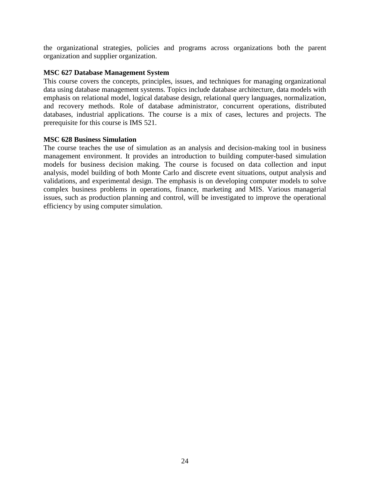the organizational strategies, policies and programs across organizations both the parent organization and supplier organization.

#### **MSC 627 Database Management System**

This course covers the concepts, principles, issues, and techniques for managing organizational data using database management systems. Topics include database architecture, data models with emphasis on relational model, logical database design, relational query languages, normalization, and recovery methods. Role of database administrator, concurrent operations, distributed databases, industrial applications. The course is a mix of cases, lectures and projects. The prerequisite for this course is IMS 521.

#### **MSC 628 Business Simulation**

The course teaches the use of simulation as an analysis and decision-making tool in business management environment. It provides an introduction to building computer-based simulation models for business decision making. The course is focused on data collection and input analysis, model building of both Monte Carlo and discrete event situations, output analysis and validations, and experimental design. The emphasis is on developing computer models to solve complex business problems in operations, finance, marketing and MIS. Various managerial issues, such as production planning and control, will be investigated to improve the operational efficiency by using computer simulation.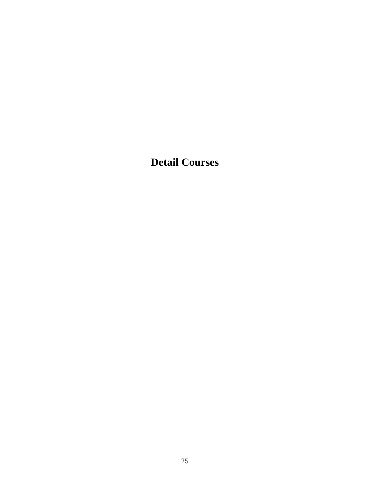**Detail Courses**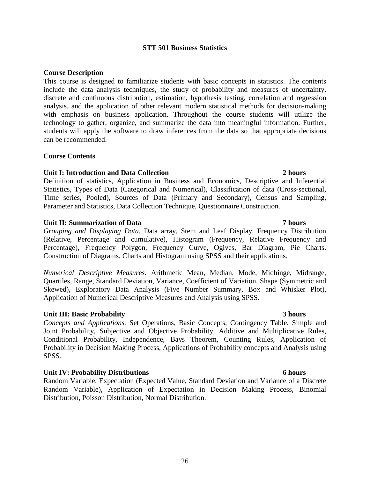### **STT 501 Business Statistics**

#### **Course Description**

This course is designed to familiarize students with basic concepts in statistics. The contents include the data analysis techniques, the study of probability and measures of uncertainty, discrete and continuous distribution, estimation, hypothesis testing, correlation and regression analysis, and the application of other relevant modern statistical methods for decision-making with emphasis on business application. Throughout the course students will utilize the technology to gather, organize, and summarize the data into meaningful information. Further, students will apply the software to draw inferences from the data so that appropriate decisions can be recommended.

#### **Course Contents**

#### **Unit I: Introduction and Data Collection 2 hours**

Definition of statistics, Application in Business and Economics, Descriptive and Inferential Statistics, Types of Data (Categorical and Numerical), Classification of data (Cross-sectional, Time series, Pooled), Sources of Data (Primary and Secondary), Census and Sampling, Parameter and Statistics, Data Collection Technique, Questionnaire Construction.

#### **Unit II: Summarization of Data 7 hours**

*Grouping and Displaying Data.* Data array, Stem and Leaf Display, Frequency Distribution (Relative, Percentage and cumulative), Histogram (Frequency, Relative Frequency and Percentage), Frequency Polygon, Frequency Curve, Ogives, Bar Diagram, Pie Charts. Construction of Diagrams, Charts and Histogram using SPSS and their applications.

*Numerical Descriptive Measures.* Arithmetic Mean, Median, Mode, Midhinge, Midrange, Quartiles, Range, Standard Deviation, Variance, Coefficient of Variation, Shape (Symmetric and Skewed), Exploratory Data Analysis (Five Number Summary, Box and Whisker Plot), Application of Numerical Descriptive Measures and Analysis using SPSS.

#### **Unit III: Basic Probability 3 hours**

*Concepts and Applications.* Set Operations, Basic Concepts, Contingency Table, Simple and Joint Probability, Subjective and Objective Probability, Additive and Multiplicative Rules, Conditional Probability, Independence, Bays Theorem, Counting Rules, Application of Probability in Decision Making Process, Applications of Probability concepts and Analysis using SPSS.

#### **Unit IV: Probability Distributions 6 hours**

Random Variable, Expectation (Expected Value, Standard Deviation and Variance of a Discrete Random Variable), Application of Expectation in Decision Making Process, Binomial Distribution, Poisson Distribution, Normal Distribution.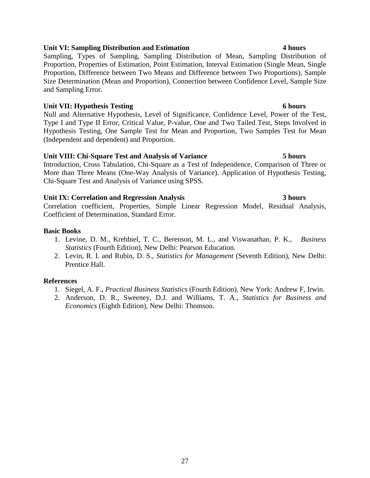### **Unit VI: Sampling Distribution and Estimation 4 hours**

Sampling, Types of Sampling, Sampling Distribution of Mean, Sampling Distribution of Proportion, Properties of Estimation, Point Estimation, Interval Estimation (Single Mean, Single Proportion, Difference between Two Means and Difference between Two Proportions), Sample Size Determination (Mean and Proportion), Connection between Confidence Level, Sample Size and Sampling Error.

#### **Unit VII: Hypothesis Testing 6 hours**

Null and Alternative Hypothesis, Level of Significance, Confidence Level, Power of the Test, Type I and Type II Error, Critical Value, P-value, One and Two Tailed Test, Steps Involved in Hypothesis Testing, One Sample Test for Mean and Proportion, Two Samples Test for Mean (Independent and dependent) and Proportion.

#### **Unit VIII: Chi-Square Test and Analysis of Variance 5 hours**

Introduction, Cross Tabulation, Chi-Square as a Test of Independence, Comparison of Three or More than Three Means (One-Way Analysis of Variance). Application of Hypothesis Testing, Chi-Square Test and Analysis of Variance using SPSS.

#### **Unit IX: Correlation and Regression Analysis 3 hours**

Correlation coefficient, Properties, Simple Linear Regression Model, Residual Analysis, Coefficient of Determination, Standard Error.

#### **Basic Books**

- 1. Levine, D. M., Krehbiel, T. C., Berenson, M. L., and Viswanathan, P. K., *Business Statistics* (Fourth Edition), New Delhi: Pearson Education.
- 2. Levin, R. I. and Rubin, D. S., *Statistics for Management* (Seventh Edition), New Delhi: Prentice Hall.

### **References**

- 1. Siegel, A. F., *Practical Business Statistics* (Fourth Edition), New York: Andrew F, Irwin.
- 2. Anderson, D. R., Sweeney, D.J. and Williams, T. A., *Statistics for Business and Economics* (Eighth Edition), New Delhi: Thomson.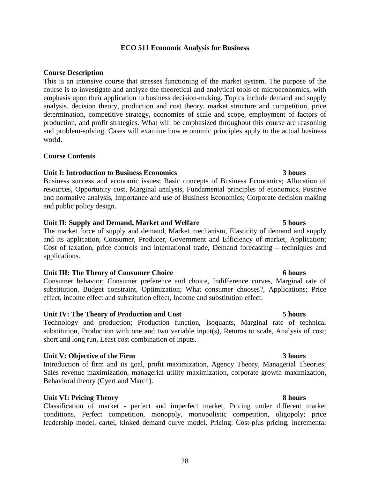### **ECO 511 Economic Analysis for Business**

#### **Course Description**

This is an intensive course that stresses functioning of the market system. The purpose of the course is to investigate and analyze the theoretical and analytical tools of microeconomics, with emphasis upon their application to business decision-making. Topics include demand and supply analysis, decision theory, production and cost theory, market structure and competition, price determination, competitive strategy, economies of scale and scope, employment of factors of production, and profit strategies. What will be emphasized throughout this course are reasoning and problem-solving. Cases will examine how economic principles apply to the actual business world.

#### **Course Contents**

#### **Unit I: Introduction to Business Economics 3 hours**

Business success and economic issues; Basic concepts of Business Economics; Allocation of resources, Opportunity cost, Marginal analysis, Fundamental principles of economics, Positive and normative analysis, Importance and use of Business Economics; Corporate decision making and public policy design.

#### **Unit II: Supply and Demand, Market and Welfare 5 hours**

The market force of supply and demand, Market mechanism, Elasticity of demand and supply and its application, Consumer, Producer, Government and Efficiency of market, Application; Cost of taxation, price controls and international trade, Demand forecasting – techniques and applications.

#### **Unit III: The Theory of Consumer Choice 6 hours**

Consumer behavior; Consumer preference and choice, Indifference curves, Marginal rate of substitution, Budget constraint, Optimization; What consumer chooses?, Applications; Price effect, income effect and substitution effect, Income and substitution effect.

#### **Unit IV: The Theory of Production and Cost 5 hours**

Technology and production; Production function, Isoquants, Marginal rate of technical substitution, Production with one and two variable input(s), Returns to scale, Analysis of cost; short and long run, Least cost combination of inputs.

#### **Unit V: Objective of the Firm 3 hours**

Introduction of firm and its goal, profit maximization, Agency Theory, Managerial Theories; Sales revenue maximization, managerial utility maximization, corporate growth maximization, Behavioral theory (Cyert and March).

### **Unit VI: Pricing Theory 8 hours**

Classification of market - perfect and imperfect market, Pricing under different market conditions, Perfect competition, monopoly, monopolistic competition, oligopoly; price leadership model, cartel, kinked demand curve model, Pricing: Cost-plus pricing, incremental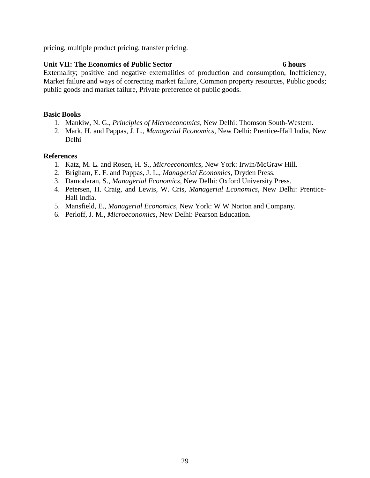pricing, multiple product pricing, transfer pricing.

#### **Unit VII: The Economics of Public Sector 6 hours**

Externality; positive and negative externalities of production and consumption, Inefficiency, Market failure and ways of correcting market failure, Common property resources, Public goods; public goods and market failure, Private preference of public goods.

#### **Basic Books**

- 1. Mankiw, N. G., *Principles of Microeconomics*, New Delhi: Thomson South-Western.
- 2. Mark, H. and Pappas, J. L., *Managerial Economics*, New Delhi: Prentice-Hall India, New Delhi

#### **References**

- 1. Katz, M. L. and Rosen, H. S., *Microeconomics*, New York: Irwin/McGraw Hill.
- 2. Brigham, E. F. and Pappas, J. L., *Managerial Economics*, Dryden Press.
- 3. Damodaran, S., *Managerial Economics*, New Delhi: Oxford University Press.
- 4. Petersen, H. Craig, and Lewis, W. Cris, *Managerial Economics*, New Delhi: Prentice-Hall India.
- 5. Mansfield, E., *Managerial Economics*, New York: W W Norton and Company.
- 6. Perloff, J. M., *Microeconomics*, New Delhi: Pearson Education.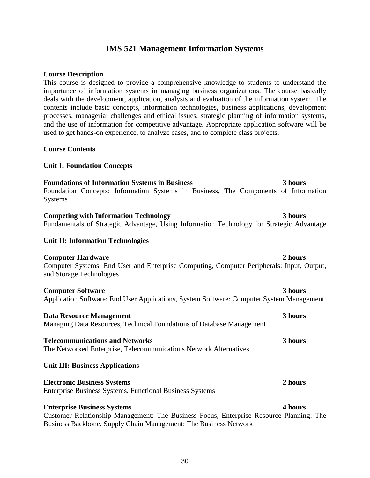### **IMS 521 Management Information Systems**

#### **Course Description**

This course is designed to provide a comprehensive knowledge to students to understand the importance of information systems in managing business organizations. The course basically deals with the development, application, analysis and evaluation of the information system. The contents include basic concepts, information technologies, business applications, development processes, managerial challenges and ethical issues, strategic planning of information systems, and the use of information for competitive advantage. Appropriate application software will be used to get hands-on experience, to analyze cases, and to complete class projects.

#### **Course Contents**

#### **Unit I: Foundation Concepts**

### **Foundations of Information Systems in Business 3 hours**

Foundation Concepts: Information Systems in Business, The Components of Information Systems

### **Competing with Information Technology 3 hours**

Fundamentals of Strategic Advantage, Using Information Technology for Strategic Advantage

#### **Unit II: Information Technologies**

#### **Computer Hardware 2 hours** 2 hours

Computer Systems: End User and Enterprise Computing, Computer Peripherals: Input, Output, and Storage Technologies

#### **Computer Software 3 hours**

Application Software: End User Applications, System Software: Computer System Management

#### **Data Resource Management 3 hours** Managing Data Resources, Technical Foundations of Database Management

**Telecommunications and Networks 3 hours** The Networked Enterprise, Telecommunications Network Alternatives

#### **Unit III: Business Applications**

#### **Electronic Business Systems 2 hours** Enterprise Business Systems, Functional Business Systems

#### **Enterprise Business Systems 4 hours**

Customer Relationship Management: The Business Focus, Enterprise Resource Planning: The Business Backbone, Supply Chain Management: The Business Network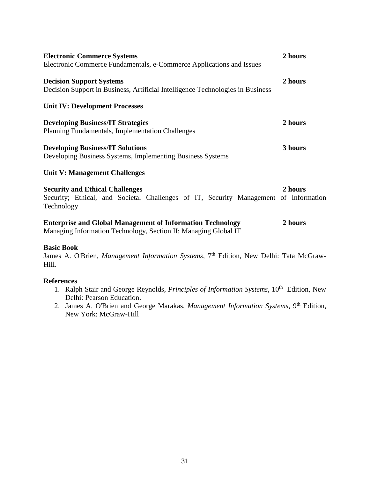| <b>Electronic Commerce Systems</b><br>Electronic Commerce Fundamentals, e-Commerce Applications and Issues                                   | 2 hours |
|----------------------------------------------------------------------------------------------------------------------------------------------|---------|
| <b>Decision Support Systems</b><br>Decision Support in Business, Artificial Intelligence Technologies in Business                            | 2 hours |
| <b>Unit IV: Development Processes</b>                                                                                                        |         |
| <b>Developing Business/IT Strategies</b><br><b>Planning Fundamentals, Implementation Challenges</b>                                          | 2 hours |
| <b>Developing Business/IT Solutions</b><br>Developing Business Systems, Implementing Business Systems                                        | 3 hours |
| <b>Unit V: Management Challenges</b>                                                                                                         |         |
| <b>Security and Ethical Challenges</b><br>Security; Ethical, and Societal Challenges of IT, Security Management of Information<br>Technology | 2 hours |
| <b>Enterprise and Global Management of Information Technology</b><br>Managing Information Technology, Section II: Managing Global IT         | 2 hours |

#### **Basic Book**

[James A. O'Brien,](http://www.mhprofessional.com/contributor.php?cat=112&id=18899) *Management Information Systems*, 7<sup>th</sup> Edition, New Delhi: Tata McGraw-Hill.

#### **References**

- 1. [Ralph Stair](http://www.amazon.com/exec/obidos/search-handle-url?%5Fencoding=UTF8&search-type=ss&index=books&field-author=Ralph%20Stair) and [George Reynolds,](http://www.amazon.com/exec/obidos/search-handle-url?%5Fencoding=UTF8&search-type=ss&index=books&field-author=George%20Reynolds) *Principles of Information Systems*, 10<sup>th</sup> Edition, New Delhi: Pearson Education.
- 2. [James A. O'Brien](http://www.mhprofessional.com/contributor.php?cat=112&id=18899) and [George Marakas,](http://www.mhprofessional.com/contributor.php?cat=112&id=30512) *Management Information Systems*, 9<sup>th</sup> Edition, New York: McGraw-Hill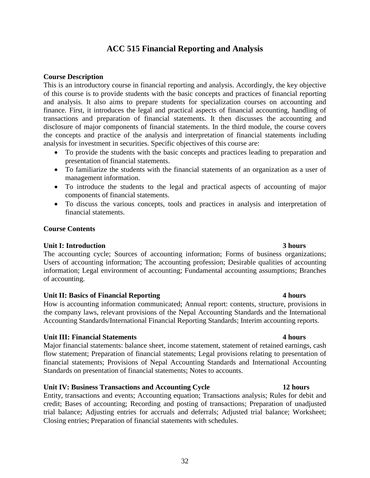# 32

### **ACC 515 Financial Reporting and Analysis**

#### **Course Description**

This is an introductory course in financial reporting and analysis. Accordingly, the key objective of this course is to provide students with the basic concepts and practices of financial reporting and analysis. It also aims to prepare students for specialization courses on accounting and finance. First, it introduces the legal and practical aspects of financial accounting, handling of transactions and preparation of financial statements. It then discusses the accounting and disclosure of major components of financial statements. In the third module, the course covers the concepts and practice of the analysis and interpretation of financial statements including analysis for investment in securities. Specific objectives of this course are:

- To provide the students with the basic concepts and practices leading to preparation and presentation of financial statements.
- To familiarize the students with the financial statements of an organization as a user of management information.
- To introduce the students to the legal and practical aspects of accounting of major components of financial statements.
- To discuss the various concepts, tools and practices in analysis and interpretation of financial statements.

#### **Course Contents**

### **Unit I: Introduction 3 hours**

The accounting cycle; Sources of accounting information; Forms of business organizations; Users of accounting information; The accounting profession; Desirable qualities of accounting information; Legal environment of accounting; Fundamental accounting assumptions; Branches of accounting.

#### **Unit II: Basics of Financial Reporting 4 hours**

How is accounting information communicated; Annual report: contents, structure, provisions in the company laws, relevant provisions of the Nepal Accounting Standards and the International Accounting Standards/International Financial Reporting Standards; Interim accounting reports.

#### **Unit III: Financial Statements 4 hours**

Major financial statements: balance sheet, income statement, statement of retained earnings, cash flow statement; Preparation of financial statements; Legal provisions relating to presentation of financial statements; Provisions of Nepal Accounting Standards and International Accounting Standards on presentation of financial statements; Notes to accounts.

### **Unit IV: Business Transactions and Accounting Cycle 12 hours**

Entity, transactions and events; Accounting equation; Transactions analysis; Rules for debit and credit; Bases of accounting; Recording and posting of transactions; Preparation of unadjusted trial balance; Adjusting entries for accruals and deferrals; Adjusted trial balance; Worksheet; Closing entries; Preparation of financial statements with schedules.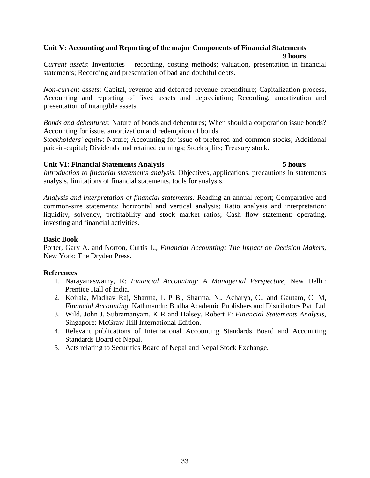#### **Unit V: Accounting and Reporting of the major Components of Financial Statements 9 hours**

*Current assets*: Inventories – recording, costing methods; valuation, presentation in financial statements; Recording and presentation of bad and doubtful debts.

*Non-current assets*: Capital, revenue and deferred revenue expenditure; Capitalization process, Accounting and reporting of fixed assets and depreciation; Recording, amortization and presentation of intangible assets.

*Bonds and debentures*: Nature of bonds and debentures; When should a corporation issue bonds? Accounting for issue, amortization and redemption of bonds.

*Stockholders' equity*: Nature; Accounting for issue of preferred and common stocks; Additional paid-in-capital; Dividends and retained earnings; Stock splits; Treasury stock.

#### **Unit VI: Financial Statements Analysis 5 hours**

*Introduction to financial statements analysis*: Objectives, applications, precautions in statements analysis, limitations of financial statements, tools for analysis.

*Analysis and interpretation of financial statements:* Reading an annual report; Comparative and common-size statements: horizontal and vertical analysis; Ratio analysis and interpretation: liquidity, solvency, profitability and stock market ratios; Cash flow statement: operating, investing and financial activities.

#### **Basic Book**

Porter, Gary A. and Norton, Curtis L., *Financial Accounting: The Impact on Decision Makers*, New York: The Dryden Press.

#### **References**

- 1. Narayanaswamy, R: *Financial Accounting: A Managerial Perspective*, New Delhi: Prentice Hall of India.
- 2. Koirala, Madhav Raj, Sharma, L P B., Sharma, N., Acharya, C., and Gautam, C. M, *Financial Accounting*, Kathmandu: Budha Academic Publishers and Distributors Pvt. Ltd
- 3. Wild, John J, Subramanyam, K R and Halsey, Robert F: *Financial Statements Analysis*, Singapore: McGraw Hill International Edition.
- 4. Relevant publications of International Accounting Standards Board and Accounting Standards Board of Nepal.
- 5. Acts relating to Securities Board of Nepal and Nepal Stock Exchange.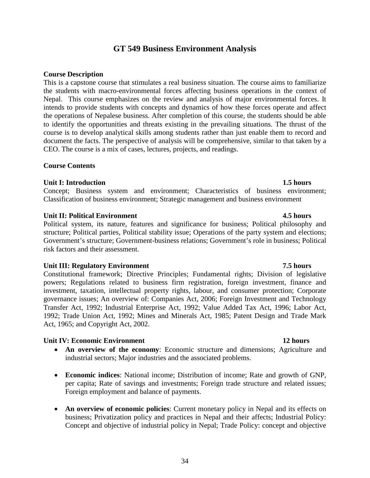### **GT 549 Business Environment Analysis**

#### **Course Description**

This is a capstone course that stimulates a real business situation. The course aims to familiarize the students with macro-environmental forces affecting business operations in the context of Nepal. This course emphasizes on the review and analysis of major environmental forces. It intends to provide students with concepts and dynamics of how these forces operate and affect the operations of Nepalese business. After completion of this course, the students should be able to identify the opportunities and threats existing in the prevailing situations. The thrust of the course is to develop analytical skills among students rather than just enable them to record and document the facts. The perspective of analysis will be comprehensive, similar to that taken by a CEO. The course is a mix of cases, lectures, projects, and readings.

#### **Course Contents**

### **Unit I: Introduction 1.5 hours**

Concept; Business system and environment; Characteristics of business environment; Classification of business environment; Strategic management and business environment

#### **Unit II: Political Environment 4.5 hours** 4.5 hours

Political system, its nature, features and significance for business; Political philosophy and structure; Political parties, Political stability issue; Operations of the party system and elections; Government's structure; Government-business relations; Government's role in business; Political risk factors and their assessment.

### Unit III: Regulatory Environment 7.5 hours

Constitutional framework; Directive Principles; Fundamental rights; Division of legislative powers; Regulations related to business firm registration, foreign investment, finance and investment, taxation, intellectual property rights, labour, and consumer protection; Corporate governance issues; An overview of: Companies Act, 2006; Foreign Investment and Technology Transfer Act, 1992; Industrial Enterprise Act, 1992; Value Added Tax Act, 1996; Labor Act, 1992; Trade Union Act, 1992; Mines and Minerals Act, 1985; Patent Design and Trade Mark Act, 1965; and Copyright Act, 2002.

### **Unit IV: Economic Environment 12 hours**

- **An overview of the economy**: Economic structure and dimensions; Agriculture and industrial sectors; Major industries and the associated problems.
- **Economic indices**: National income; Distribution of income; Rate and growth of GNP, per capita; Rate of savings and investments; Foreign trade structure and related issues; Foreign employment and balance of payments.
- **An overview of economic policies**: Current monetary policy in Nepal and its effects on business; Privatization policy and practices in Nepal and their affects; Industrial Policy: Concept and objective of industrial policy in Nepal; Trade Policy: concept and objective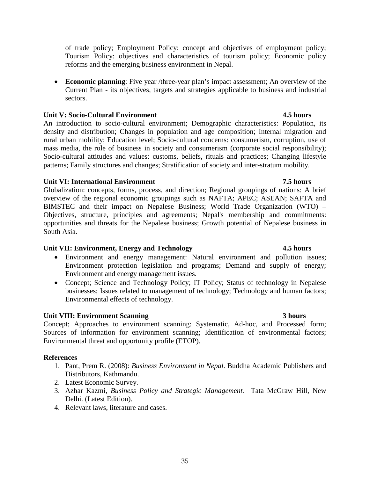of trade policy; Employment Policy: concept and objectives of employment policy; Tourism Policy: objectives and characteristics of tourism policy; Economic policy reforms and the emerging business environment in Nepal.

• **Economic planning**: Five year /three-year plan's impact assessment; An overview of the Current Plan - its objectives, targets and strategies applicable to business and industrial sectors.

### **Unit V: Socio-Cultural Environment 4.5 hours**

An introduction to socio-cultural environment; Demographic characteristics: Population, its density and distribution; Changes in population and age composition; Internal migration and rural urban mobility; Education level; Socio-cultural concerns: consumerism, corruption, use of mass media, the role of business in society and consumerism (corporate social responsibility); Socio-cultural attitudes and values: customs, beliefs, rituals and practices; Changing lifestyle patterns; Family structures and changes; Stratification of society and inter-stratum mobility.

### **Unit VI: International Environment 7.5 hours**

Globalization: concepts, forms, process, and direction; Regional groupings of nations: A brief overview of the regional economic groupings such as NAFTA; APEC; ASEAN; SAFTA and BIMSTEC and their impact on Nepalese Business; World Trade Organization (WTO) – Objectives, structure, principles and agreements; Nepal's membership and commitments: opportunities and threats for the Nepalese business; Growth potential of Nepalese business in South Asia.

### **Unit VII: Environment, Energy and Technology 4.5 hours**

- Environment and energy management: Natural environment and pollution issues; Environment protection legislation and programs; Demand and supply of energy; Environment and energy management issues.
- Concept; Science and Technology Policy; IT Policy; Status of technology in Nepalese businesses; Issues related to management of technology; Technology and human factors; Environmental effects of technology.

### **Unit VIII: Environment Scanning 3 hours**

Concept; Approaches to environment scanning: Systematic, Ad-hoc, and Processed form; Sources of information for environment scanning; Identification of environmental factors; Environmental threat and opportunity profile (ETOP).

### **References**

- 1. Pant, Prem R. (2008): *Business Environment in Nepal*. Buddha Academic Publishers and Distributors, Kathmandu.
- 2. Latest Economic Survey.
- 3. Azhar Kazmi, *Business Policy and Strategic Management.* Tata McGraw Hill, New Delhi. (Latest Edition).
- 4. Relevant laws, literature and cases.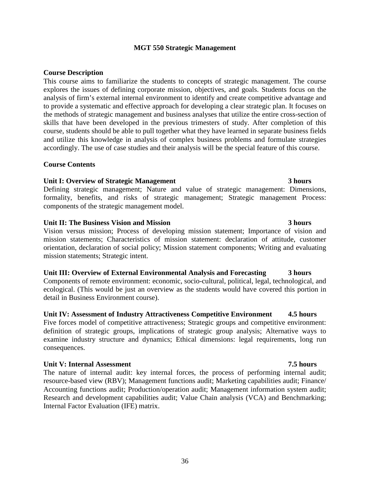### **MGT 550 Strategic Management**

#### **Course Description**

This course aims to familiarize the students to concepts of strategic management. The course explores the issues of defining corporate mission, objectives, and goals. Students focus on the analysis of firm's external internal environment to identify and create competitive advantage and to provide a systematic and effective approach for developing a clear strategic plan. It focuses on the methods of strategic management and business analyses that utilize the entire cross-section of skills that have been developed in the previous trimesters of study. After completion of this course, students should be able to pull together what they have learned in separate business fields and utilize this knowledge in analysis of complex business problems and formulate strategies accordingly. The use of case studies and their analysis will be the special feature of this course.

#### **Course Contents**

#### **Unit I: Overview of Strategic Management 3 hours**

Defining strategic management; Nature and value of strategic management: Dimensions, formality, benefits, and risks of strategic management; Strategic management Process: components of the strategic management model.

#### **Unit II: The Business Vision and Mission 3 hours**

Vision versus mission; Process of developing mission statement; Importance of vision and mission statements; Characteristics of mission statement: declaration of attitude, customer orientation, declaration of social policy; Mission statement components; Writing and evaluating mission statements; Strategic intent.

#### **Unit III: Overview of External Environmental Analysis and Forecasting 3 hours**

Components of remote environment: economic, socio-cultural, political, legal, technological, and ecological. (This would be just an overview as the students would have covered this portion in detail in Business Environment course).

#### **Unit IV: Assessment of Industry Attractiveness Competitive Environment 4.5 hours**

Five forces model of competitive attractiveness; Strategic groups and competitive environment: definition of strategic groups, implications of strategic group analysis; Alternative ways to examine industry structure and dynamics; Ethical dimensions: legal requirements, long run consequences.

#### **Unit V: Internal Assessment 7.5 hours**

The nature of internal audit: key internal forces, the process of performing internal audit; resource-based view (RBV); Management functions audit; Marketing capabilities audit; Finance/ Accounting functions audit; Production/operation audit; Management information system audit; Research and development capabilities audit; Value Chain analysis (VCA) and Benchmarking; Internal Factor Evaluation (IFE) matrix.